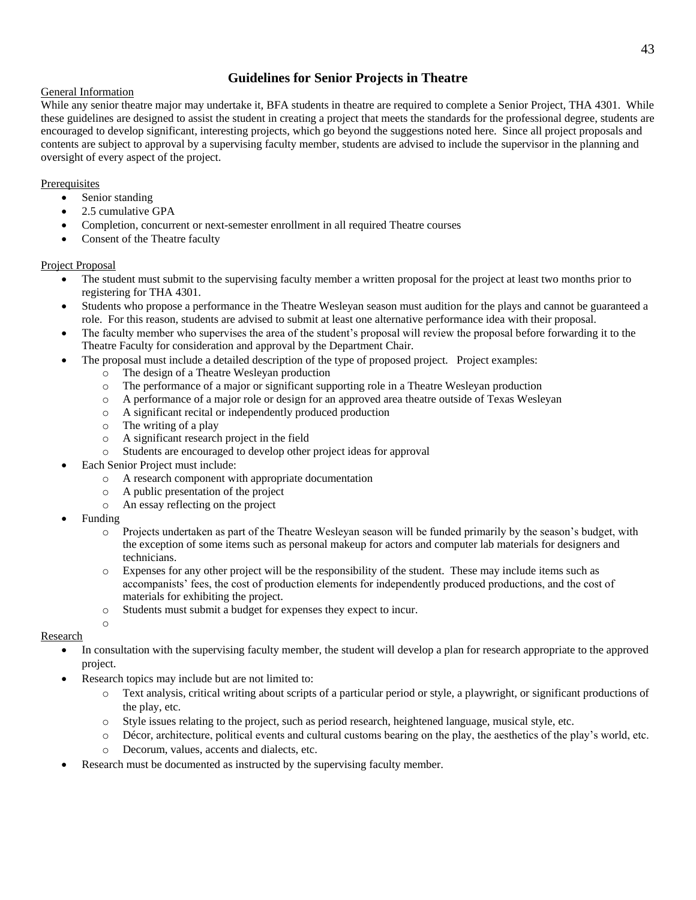# **Guidelines for Senior Projects in Theatre**

### General Information

While any senior theatre major may undertake it, BFA students in theatre are required to complete a Senior Project, THA 4301. While these guidelines are designed to assist the student in creating a project that meets the standards for the professional degree, students are encouraged to develop significant, interesting projects, which go beyond the suggestions noted here. Since all project proposals and contents are subject to approval by a supervising faculty member, students are advised to include the supervisor in the planning and oversight of every aspect of the project.

## Prerequisites

- Senior standing
- 2.5 cumulative GPA
- Completion, concurrent or next-semester enrollment in all required Theatre courses
- Consent of the Theatre faculty

#### Project Proposal

- The student must submit to the supervising faculty member a written proposal for the project at least two months prior to registering for THA 4301.
- Students who propose a performance in the Theatre Wesleyan season must audition for the plays and cannot be guaranteed a role. For this reason, students are advised to submit at least one alternative performance idea with their proposal.
- The faculty member who supervises the area of the student's proposal will review the proposal before forwarding it to the Theatre Faculty for consideration and approval by the Department Chair.
- The proposal must include a detailed description of the type of proposed project. Project examples:
	- o The design of a Theatre Wesleyan production
	- o The performance of a major or significant supporting role in a Theatre Wesleyan production
	- o A performance of a major role or design for an approved area theatre outside of Texas Wesleyan
	- o A significant recital or independently produced production
	- o The writing of a play
	- o A significant research project in the field
	- o Students are encouraged to develop other project ideas for approval
- Each Senior Project must include:
	- o A research component with appropriate documentation
	- o A public presentation of the project
	- o An essay reflecting on the project
- Funding

o

- o Projects undertaken as part of the Theatre Wesleyan season will be funded primarily by the season's budget, with the exception of some items such as personal makeup for actors and computer lab materials for designers and technicians.
- o Expenses for any other project will be the responsibility of the student. These may include items such as accompanists' fees, the cost of production elements for independently produced productions, and the cost of materials for exhibiting the project.
- o Students must submit a budget for expenses they expect to incur.

## Research

- In consultation with the supervising faculty member, the student will develop a plan for research appropriate to the approved project.
- Research topics may include but are not limited to:
	- o Text analysis, critical writing about scripts of a particular period or style, a playwright, or significant productions of the play, etc.
	- o Style issues relating to the project, such as period research, heightened language, musical style, etc.
	- o Décor, architecture, political events and cultural customs bearing on the play, the aesthetics of the play's world, etc.
	- o Decorum, values, accents and dialects, etc.
- Research must be documented as instructed by the supervising faculty member.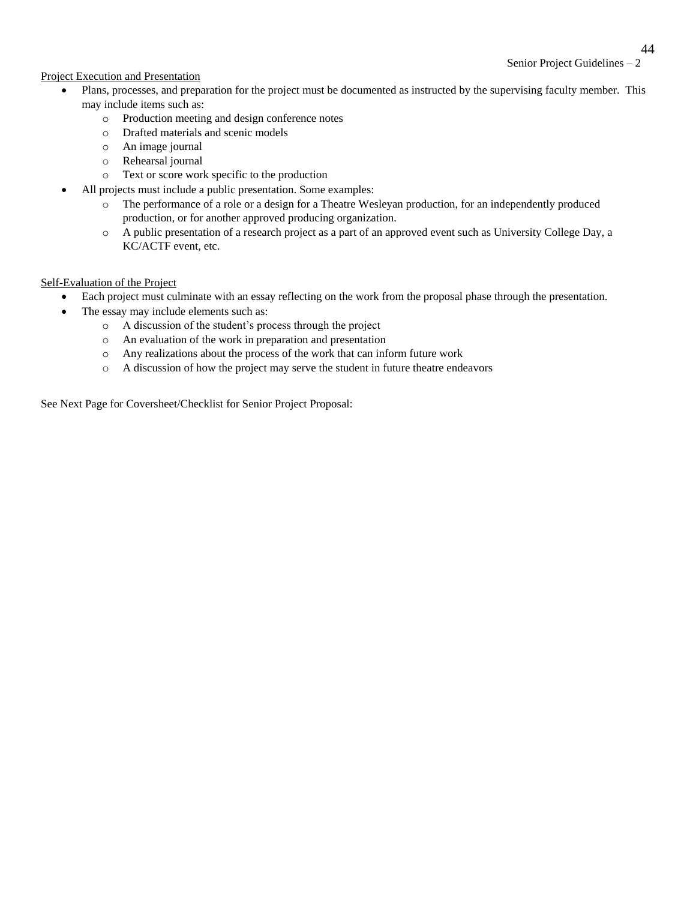## Senior Project Guidelines – 2

## Project Execution and Presentation

- Plans, processes, and preparation for the project must be documented as instructed by the supervising faculty member. This may include items such as:
	- o Production meeting and design conference notes
	- o Drafted materials and scenic models
	- o An image journal
	- o Rehearsal journal
	- o Text or score work specific to the production
- All projects must include a public presentation. Some examples:
	- o The performance of a role or a design for a Theatre Wesleyan production, for an independently produced production, or for another approved producing organization.
	- o A public presentation of a research project as a part of an approved event such as University College Day, a KC/ACTF event, etc.

#### Self-Evaluation of the Project

- Each project must culminate with an essay reflecting on the work from the proposal phase through the presentation.
- The essay may include elements such as:
	- o A discussion of the student's process through the project
	- o An evaluation of the work in preparation and presentation
	- o Any realizations about the process of the work that can inform future work
	- o A discussion of how the project may serve the student in future theatre endeavors

See Next Page for Coversheet/Checklist for Senior Project Proposal: